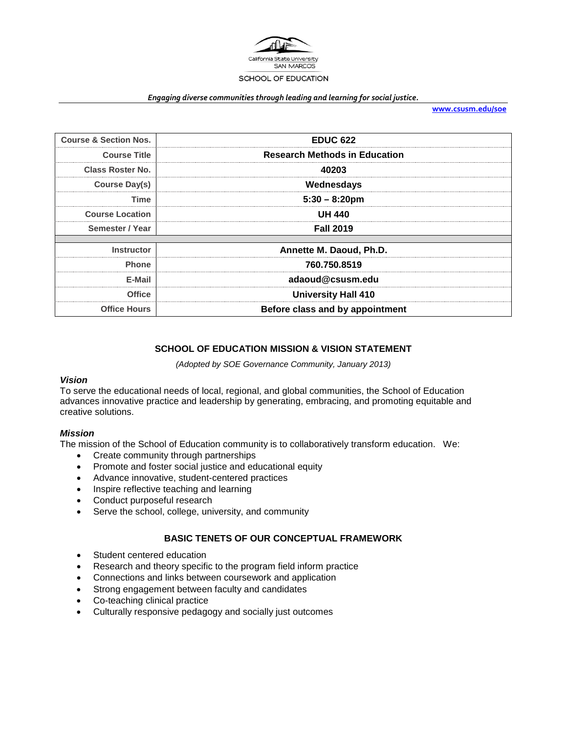

#### *Engaging diverse communities through leading and learning for social justice.*

**[www.csusm.edu/soe](http://www.csusm.edu/soe)**

| <b>Course &amp; Section Nos.</b> | <b>EDUC 622</b>                      |
|----------------------------------|--------------------------------------|
| <b>Course Title</b>              | <b>Research Methods in Education</b> |
| <b>Class Roster No.</b>          | 40203                                |
| <b>Course Day(s)</b>             | Wednesdays                           |
| Time                             | $5:30 - 8:20$ pm                     |
| <b>Course Location</b>           | UH 440                               |
| Semester / Year                  | <b>Fall 2019</b>                     |
|                                  |                                      |
| <b>Instructor</b>                | Annette M. Daoud, Ph.D.              |
| <b>Phone</b>                     | 760.750.8519                         |
| E-Mail                           | adaoud@csusm.edu                     |
| <b>Office</b>                    | <b>University Hall 410</b>           |
| <b>Office Hours</b>              | Before class and by appointment      |

## **SCHOOL OF EDUCATION MISSION & VISION STATEMENT**

*(Adopted by SOE Governance Community, January 2013)*

#### *Vision*

To serve the educational needs of local, regional, and global communities, the School of Education advances innovative practice and leadership by generating, embracing, and promoting equitable and creative solutions.

## *Mission*

The mission of the School of Education community is to collaboratively transform education. We:

- Create community through partnerships
- Promote and foster social justice and educational equity
- Advance innovative, student-centered practices
- Inspire reflective teaching and learning
- Conduct purposeful research
- Serve the school, college, university, and community

## **BASIC TENETS OF OUR CONCEPTUAL FRAMEWORK**

- Student centered education
- Research and theory specific to the program field inform practice
- Connections and links between coursework and application
- Strong engagement between faculty and candidates
- Co-teaching clinical practice
- Culturally responsive pedagogy and socially just outcomes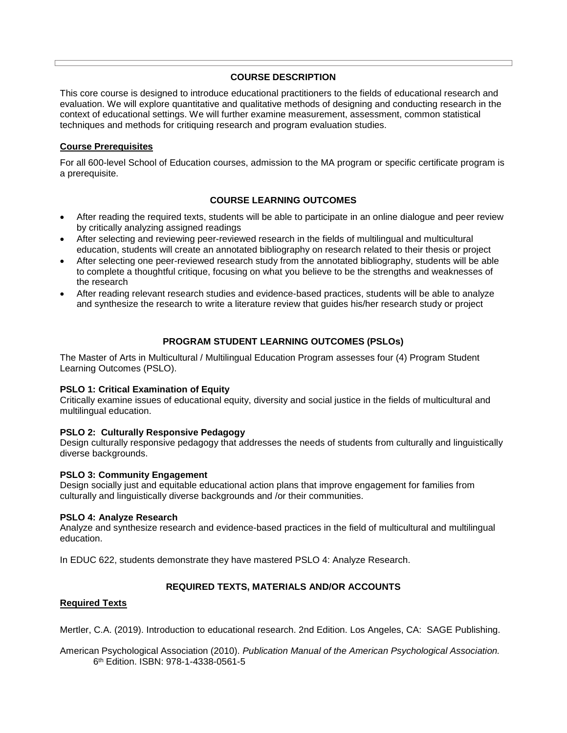## **COURSE DESCRIPTION**

This core course is designed to introduce educational practitioners to the fields of educational research and evaluation. We will explore quantitative and qualitative methods of designing and conducting research in the context of educational settings. We will further examine measurement, assessment, common statistical techniques and methods for critiquing research and program evaluation studies.

## **Course Prerequisites**

For all 600-level School of Education courses, admission to the MA program or specific certificate program is a prerequisite.

## **COURSE LEARNING OUTCOMES**

- After reading the required texts, students will be able to participate in an online dialogue and peer review by critically analyzing assigned readings
- After selecting and reviewing peer-reviewed research in the fields of multilingual and multicultural education, students will create an annotated bibliography on research related to their thesis or project
- After selecting one peer-reviewed research study from the annotated bibliography, students will be able to complete a thoughtful critique, focusing on what you believe to be the strengths and weaknesses of the research
- After reading relevant research studies and evidence-based practices, students will be able to analyze and synthesize the research to write a literature review that guides his/her research study or project

## **PROGRAM STUDENT LEARNING OUTCOMES (PSLOs)**

The Master of Arts in Multicultural / Multilingual Education Program assesses four (4) Program Student Learning Outcomes (PSLO).

#### **PSLO 1: Critical Examination of Equity**

Critically examine issues of educational equity, diversity and social justice in the fields of multicultural and multilingual education.

#### **PSLO 2: Culturally Responsive Pedagogy**

Design culturally responsive pedagogy that addresses the needs of students from culturally and linguistically diverse backgrounds.

#### **PSLO 3: Community Engagement**

Design socially just and equitable educational action plans that improve engagement for families from culturally and linguistically diverse backgrounds and /or their communities.

#### **PSLO 4: Analyze Research**

Analyze and synthesize research and evidence-based practices in the field of multicultural and multilingual education.

In EDUC 622, students demonstrate they have mastered PSLO 4: Analyze Research.

#### **REQUIRED TEXTS, MATERIALS AND/OR ACCOUNTS**

#### **Required Texts**

Mertler, C.A. (2019). Introduction to educational research. 2nd Edition. Los Angeles, CA: SAGE Publishing.

American Psychological Association (2010). *Publication Manual of the American Psychological Association.* 6th Edition. ISBN: 978-1-4338-0561-5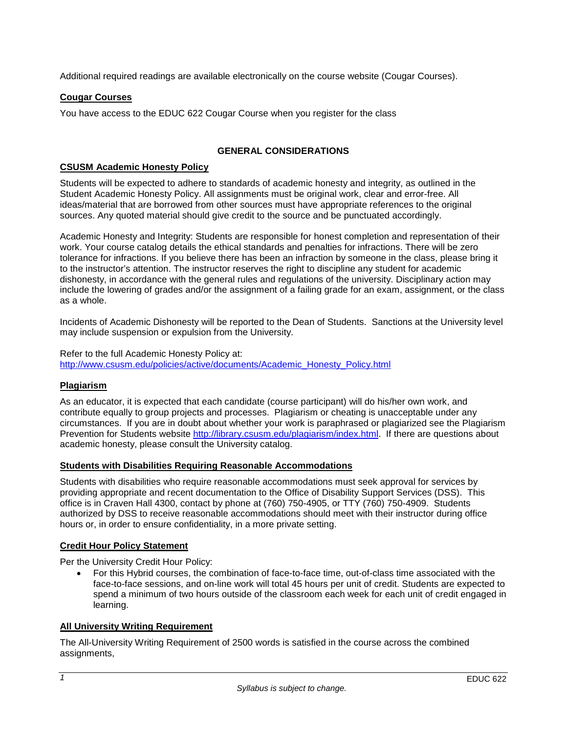Additional required readings are available electronically on the course website (Cougar Courses).

## **Cougar Courses**

You have access to the EDUC 622 Cougar Course when you register for the class

## **GENERAL CONSIDERATIONS**

#### **CSUSM Academic Honesty Policy**

Students will be expected to adhere to standards of academic honesty and integrity, as outlined in the Student Academic Honesty Policy. All assignments must be original work, clear and error-free. All ideas/material that are borrowed from other sources must have appropriate references to the original sources. Any quoted material should give credit to the source and be punctuated accordingly.

Academic Honesty and Integrity: Students are responsible for honest completion and representation of their work. Your course catalog details the ethical standards and penalties for infractions. There will be zero tolerance for infractions. If you believe there has been an infraction by someone in the class, please bring it to the instructor's attention. The instructor reserves the right to discipline any student for academic dishonesty, in accordance with the general rules and regulations of the university. Disciplinary action may include the lowering of grades and/or the assignment of a failing grade for an exam, assignment, or the class as a whole.

Incidents of Academic Dishonesty will be reported to the Dean of Students. Sanctions at the University level may include suspension or expulsion from the University.

Refer to the full Academic Honesty Policy at: [http://www.csusm.edu/policies/active/documents/Academic\\_Honesty\\_Policy.html](http://www.csusm.edu/policies/active/documents/Academic_Honesty_Policy.html)

## **Plagiarism**

As an educator, it is expected that each candidate (course participant) will do his/her own work, and contribute equally to group projects and processes. Plagiarism or cheating is unacceptable under any circumstances. If you are in doubt about whether your work is paraphrased or plagiarized see the Plagiarism Prevention for Students website [http://library.csusm.edu/plagiarism/index.html.](http://library.csusm.edu/plagiarism/index.html) If there are questions about academic honesty, please consult the University catalog.

#### **Students with Disabilities Requiring Reasonable Accommodations**

Students with disabilities who require reasonable accommodations must seek approval for services by providing appropriate and recent documentation to the Office of Disability Support Services (DSS). This office is in Craven Hall 4300, contact by phone at (760) 750-4905, or TTY (760) 750-4909. Students authorized by DSS to receive reasonable accommodations should meet with their instructor during office hours or, in order to ensure confidentiality, in a more private setting.

## **Credit Hour Policy Statement**

Per the University Credit Hour Policy:

• For this Hybrid courses, the combination of face-to-face time, out-of-class time associated with the face-to-face sessions, and on-line work will total 45 hours per unit of credit. Students are expected to spend a minimum of two hours outside of the classroom each week for each unit of credit engaged in learning.

## **All University Writing Requirement**

The All-University Writing Requirement of 2500 words is satisfied in the course across the combined assignments,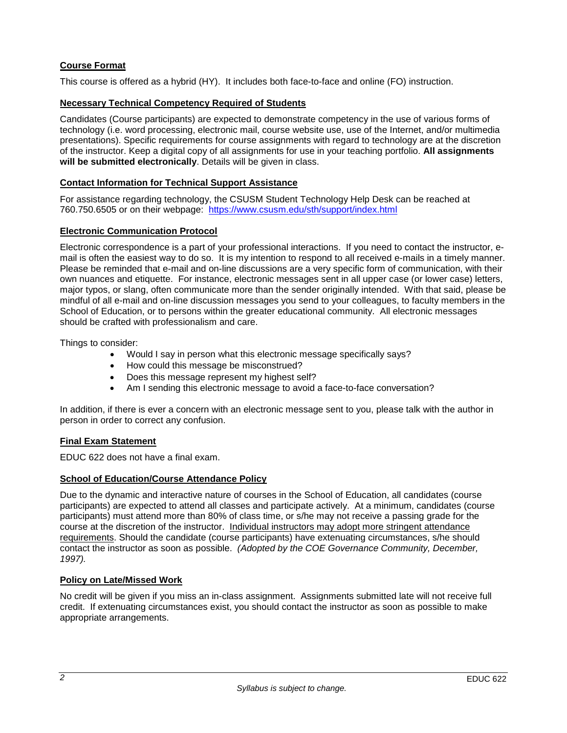## **Course Format**

This course is offered as a hybrid (HY). It includes both face-to-face and online (FO) instruction.

## **Necessary Technical Competency Required of Students**

Candidates (Course participants) are expected to demonstrate competency in the use of various forms of technology (i.e. word processing, electronic mail, course website use, use of the Internet, and/or multimedia presentations). Specific requirements for course assignments with regard to technology are at the discretion of the instructor. Keep a digital copy of all assignments for use in your teaching portfolio. **All assignments will be submitted electronically**. Details will be given in class.

## **Contact Information for Technical Support Assistance**

For assistance regarding technology, the CSUSM Student Technology Help Desk can be reached at 760.750.6505 or on their webpage: <https://www.csusm.edu/sth/support/index.html>

## **Electronic Communication Protocol**

Electronic correspondence is a part of your professional interactions. If you need to contact the instructor, email is often the easiest way to do so. It is my intention to respond to all received e-mails in a timely manner. Please be reminded that e-mail and on-line discussions are a very specific form of communication, with their own nuances and etiquette. For instance, electronic messages sent in all upper case (or lower case) letters, major typos, or slang, often communicate more than the sender originally intended. With that said, please be mindful of all e-mail and on-line discussion messages you send to your colleagues, to faculty members in the School of Education, or to persons within the greater educational community. All electronic messages should be crafted with professionalism and care.

Things to consider:

- Would I say in person what this electronic message specifically says?
- How could this message be misconstrued?
- Does this message represent my highest self?
- Am I sending this electronic message to avoid a face-to-face conversation?

In addition, if there is ever a concern with an electronic message sent to you, please talk with the author in person in order to correct any confusion.

#### **Final Exam Statement**

EDUC 622 does not have a final exam.

## **School of Education/Course Attendance Policy**

Due to the dynamic and interactive nature of courses in the School of Education, all candidates (course participants) are expected to attend all classes and participate actively. At a minimum, candidates (course participants) must attend more than 80% of class time, or s/he may not receive a passing grade for the course at the discretion of the instructor. Individual instructors may adopt more stringent attendance requirements. Should the candidate (course participants) have extenuating circumstances, s/he should contact the instructor as soon as possible. *(Adopted by the COE Governance Community, December, 1997).*

#### **Policy on Late/Missed Work**

No credit will be given if you miss an in-class assignment. Assignments submitted late will not receive full credit. If extenuating circumstances exist, you should contact the instructor as soon as possible to make appropriate arrangements.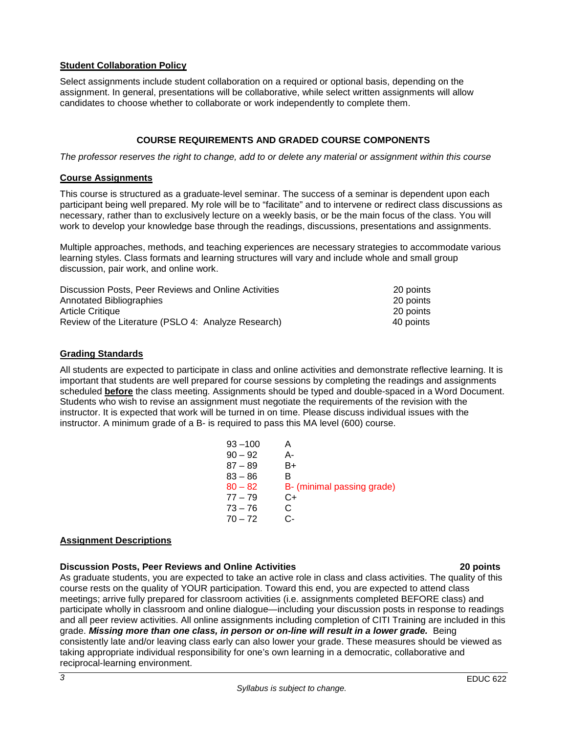## **Student Collaboration Policy**

Select assignments include student collaboration on a required or optional basis, depending on the assignment. In general, presentations will be collaborative, while select written assignments will allow candidates to choose whether to collaborate or work independently to complete them.

## **COURSE REQUIREMENTS AND GRADED COURSE COMPONENTS**

*The professor reserves the right to change, add to or delete any material or assignment within this course*

#### **Course Assignments**

This course is structured as a graduate-level seminar. The success of a seminar is dependent upon each participant being well prepared. My role will be to "facilitate" and to intervene or redirect class discussions as necessary, rather than to exclusively lecture on a weekly basis, or be the main focus of the class. You will work to develop your knowledge base through the readings, discussions, presentations and assignments.

Multiple approaches, methods, and teaching experiences are necessary strategies to accommodate various learning styles. Class formats and learning structures will vary and include whole and small group discussion, pair work, and online work.

| Discussion Posts, Peer Reviews and Online Activities | 20 points |
|------------------------------------------------------|-----------|
| Annotated Bibliographies                             | 20 points |
| <b>Article Critique</b>                              | 20 points |
| Review of the Literature (PSLO 4: Analyze Research)  | 40 points |

## **Grading Standards**

All students are expected to participate in class and online activities and demonstrate reflective learning. It is important that students are well prepared for course sessions by completing the readings and assignments scheduled **before** the class meeting. Assignments should be typed and double-spaced in a Word Document. Students who wish to revise an assignment must negotiate the requirements of the revision with the instructor. It is expected that work will be turned in on time. Please discuss individual issues with the instructor. A minimum grade of a B- is required to pass this MA level (600) course.

| $93 - 100$ |                            |
|------------|----------------------------|
| $90 - 92$  | А-                         |
| $87 - 89$  | B+                         |
| $83 - 86$  | в                          |
| $80 - 82$  | B- (minimal passing grade) |
| $77 - 79$  | C+                         |
| $73 - 76$  | C                          |
| $70 - 72$  | ઼.                         |
|            |                            |

#### **Assignment Descriptions**

#### **Discussion Posts, Peer Reviews and Online Activities 20 points**

As graduate students, you are expected to take an active role in class and class activities. The quality of this course rests on the quality of YOUR participation. Toward this end, you are expected to attend class meetings; arrive fully prepared for classroom activities (i.e. assignments completed BEFORE class) and participate wholly in classroom and online dialogue—including your discussion posts in response to readings and all peer review activities. All online assignments including completion of CITI Training are included in this grade. *Missing more than one class, in person or on-line will result in a lower grade.*Being consistently late and/or leaving class early can also lower your grade. These measures should be viewed as taking appropriate individual responsibility for one's own learning in a democratic, collaborative and reciprocal-learning environment.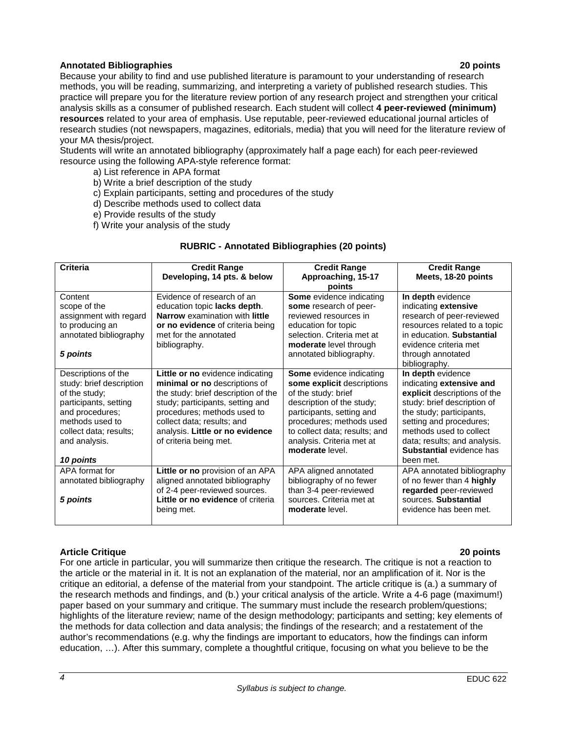## **Annotated Bibliographies 20 points**

Because your ability to find and use published literature is paramount to your understanding of research methods, you will be reading, summarizing, and interpreting a variety of published research studies. This practice will prepare you for the literature review portion of any research project and strengthen your critical analysis skills as a consumer of published research. Each student will collect **4 peer-reviewed (minimum) resources** related to your area of emphasis. Use reputable, peer-reviewed educational journal articles of research studies (not newspapers, magazines, editorials, media) that you will need for the literature review of your MA thesis/project.

Students will write an annotated bibliography (approximately half a page each) for each peer-reviewed resource using the following APA-style reference format:

- a) List reference in APA format
- b) Write a brief description of the study
- c) Explain participants, setting and procedures of the study
- d) Describe methods used to collect data
- e) Provide results of the study
- f) Write your analysis of the study

## **RUBRIC - Annotated Bibliographies (20 points)**

| <b>Criteria</b>                                                                                                                                                                         | <b>Credit Range</b><br>Developing, 14 pts. & below                                                                                                                                                                                                                     | <b>Credit Range</b><br>Approaching, 15-17<br>points                                                                                                                                                                                                         | <b>Credit Range</b><br>Meets, 18-20 points                                                                                                                                                                                                                                     |
|-----------------------------------------------------------------------------------------------------------------------------------------------------------------------------------------|------------------------------------------------------------------------------------------------------------------------------------------------------------------------------------------------------------------------------------------------------------------------|-------------------------------------------------------------------------------------------------------------------------------------------------------------------------------------------------------------------------------------------------------------|--------------------------------------------------------------------------------------------------------------------------------------------------------------------------------------------------------------------------------------------------------------------------------|
| Content<br>scope of the<br>assignment with regard                                                                                                                                       | Evidence of research of an<br>education topic lacks depth.<br>Narrow examination with little                                                                                                                                                                           | Some evidence indicating<br>some research of peer-<br>reviewed resources in                                                                                                                                                                                 | In depth evidence<br>indicating extensive<br>research of peer-reviewed                                                                                                                                                                                                         |
| to producing an<br>annotated bibliography                                                                                                                                               | or no evidence of criteria being<br>met for the annotated<br>bibliography.                                                                                                                                                                                             | education for topic<br>selection. Criteria met at<br>moderate level through                                                                                                                                                                                 | resources related to a topic<br>in education. Substantial<br>evidence criteria met                                                                                                                                                                                             |
| 5 points                                                                                                                                                                                |                                                                                                                                                                                                                                                                        | annotated bibliography.                                                                                                                                                                                                                                     | through annotated<br>bibliography.                                                                                                                                                                                                                                             |
| Descriptions of the<br>study: brief description<br>of the study;<br>participants, setting<br>and procedures;<br>methods used to<br>collect data; results;<br>and analysis.<br>10 points | Little or no evidence indicating<br>minimal or no descriptions of<br>the study: brief description of the<br>study; participants, setting and<br>procedures; methods used to<br>collect data; results; and<br>analysis. Little or no evidence<br>of criteria being met. | <b>Some</b> evidence indicating<br>some explicit descriptions<br>of the study: brief<br>description of the study;<br>participants, setting and<br>procedures; methods used<br>to collect data; results; and<br>analysis. Criteria met at<br>moderate level. | In depth evidence<br>indicating extensive and<br>explicit descriptions of the<br>study: brief description of<br>the study; participants,<br>setting and procedures;<br>methods used to collect<br>data; results; and analysis.<br><b>Substantial</b> evidence has<br>been met. |
| APA format for<br>annotated bibliography<br>5 points                                                                                                                                    | Little or no provision of an APA<br>aligned annotated bibliography<br>of 2-4 peer-reviewed sources.<br>Little or no evidence of criteria<br>being met.                                                                                                                 | APA aligned annotated<br>bibliography of no fewer<br>than 3-4 peer-reviewed<br>sources. Criteria met at<br>moderate level.                                                                                                                                  | APA annotated bibliography<br>of no fewer than 4 highly<br>regarded peer-reviewed<br>sources. Substantial<br>evidence has been met.                                                                                                                                            |

#### **Article Critique 20 points**

For one article in particular, you will summarize then critique the research. The critique is not a reaction to the article or the material in it. It is not an explanation of the material, nor an amplification of it. Nor is the critique an editorial, a defense of the material from your standpoint. The article critique is (a.) a summary of the research methods and findings, and (b.) your critical analysis of the article. Write a 4-6 page (maximum!) paper based on your summary and critique. The summary must include the research problem/questions; highlights of the literature review; name of the design methodology; participants and setting; key elements of the methods for data collection and data analysis; the findings of the research; and a restatement of the author's recommendations (e.g. why the findings are important to educators, how the findings can inform education, …). After this summary, complete a thoughtful critique, focusing on what you believe to be the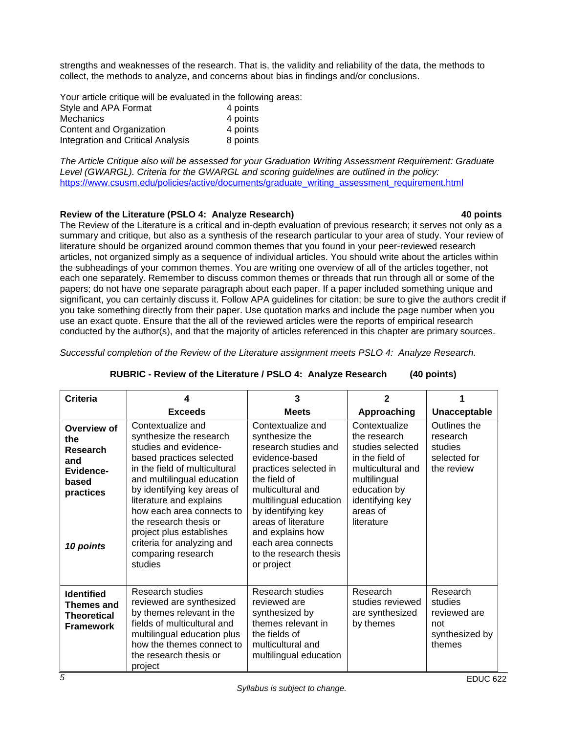strengths and weaknesses of the research. That is, the validity and reliability of the data, the methods to collect, the methods to analyze, and concerns about bias in findings and/or conclusions.

Your article critique will be evaluated in the following areas: Style and APA Format 4 points Mechanics 4 points Content and Organization 4 points<br>Integration and Critical Analysis 8 points Integration and Critical Analysis

*The Article Critique also will be assessed for your Graduation Writing Assessment Requirement: Graduate Level (GWARGL). Criteria for the GWARGL and scoring guidelines are outlined in the policy:*  [https://www.csusm.edu/policies/active/documents/graduate\\_writing\\_assessment\\_requirement.html](https://www.csusm.edu/policies/active/documents/graduate_writing_assessment_requirement.html)

## **Review of the Literature (PSLO 4: Analyze Research) 40 points**

The Review of the Literature is a critical and in-depth evaluation of previous research; it serves not only as a summary and critique, but also as a synthesis of the research particular to your area of study. Your review of literature should be organized around common themes that you found in your peer-reviewed research articles, not organized simply as a sequence of individual articles. You should write about the articles within the subheadings of your common themes. You are writing one overview of all of the articles together, not each one separately. Remember to discuss common themes or threads that run through all or some of the papers; do not have one separate paragraph about each paper. If a paper included something unique and significant, you can certainly discuss it. Follow APA guidelines for citation; be sure to give the authors credit if you take something directly from their paper. Use quotation marks and include the page number when you use an exact quote. Ensure that the all of the reviewed articles were the reports of empirical research conducted by the author(s), and that the majority of articles referenced in this chapter are primary sources.

*Successful completion of the Review of the Literature assignment meets PSLO 4: Analyze Research.* 

| Criteria                                                                              | 4                                                                                                                                                                                                                                                                                                                                                                            | 3                                                                                                                                                                                                                                                                                                    | $\mathbf{2}$                                                                                                                                                           |                                                                        |
|---------------------------------------------------------------------------------------|------------------------------------------------------------------------------------------------------------------------------------------------------------------------------------------------------------------------------------------------------------------------------------------------------------------------------------------------------------------------------|------------------------------------------------------------------------------------------------------------------------------------------------------------------------------------------------------------------------------------------------------------------------------------------------------|------------------------------------------------------------------------------------------------------------------------------------------------------------------------|------------------------------------------------------------------------|
|                                                                                       | <b>Exceeds</b>                                                                                                                                                                                                                                                                                                                                                               | <b>Meets</b>                                                                                                                                                                                                                                                                                         | Approaching                                                                                                                                                            | Unacceptable                                                           |
| Overview of<br>the<br>Research<br>and<br>Evidence-<br>based<br>practices<br>10 points | Contextualize and<br>synthesize the research<br>studies and evidence-<br>based practices selected<br>in the field of multicultural<br>and multilingual education<br>by identifying key areas of<br>literature and explains<br>how each area connects to<br>the research thesis or<br>project plus establishes<br>criteria for analyzing and<br>comparing research<br>studies | Contextualize and<br>synthesize the<br>research studies and<br>evidence-based<br>practices selected in<br>the field of<br>multicultural and<br>multilingual education<br>by identifying key<br>areas of literature<br>and explains how<br>each area connects<br>to the research thesis<br>or project | Contextualize<br>the research<br>studies selected<br>in the field of<br>multicultural and<br>multilingual<br>education by<br>identifying key<br>areas of<br>literature | Outlines the<br>research<br>studies<br>selected for<br>the review      |
| <b>Identified</b><br>Themes and<br><b>Theoretical</b><br><b>Framework</b>             | Research studies<br>reviewed are synthesized<br>by themes relevant in the<br>fields of multicultural and<br>multilingual education plus<br>how the themes connect to<br>the research thesis or<br>project                                                                                                                                                                    | Research studies<br>reviewed are<br>synthesized by<br>themes relevant in<br>the fields of<br>multicultural and<br>multilingual education                                                                                                                                                             | Research<br>studies reviewed<br>are synthesized<br>by themes                                                                                                           | Research<br>studies<br>reviewed are<br>not<br>synthesized by<br>themes |

#### **RUBRIC - Review of the Literature / PSLO 4: Analyze Research (40 points)**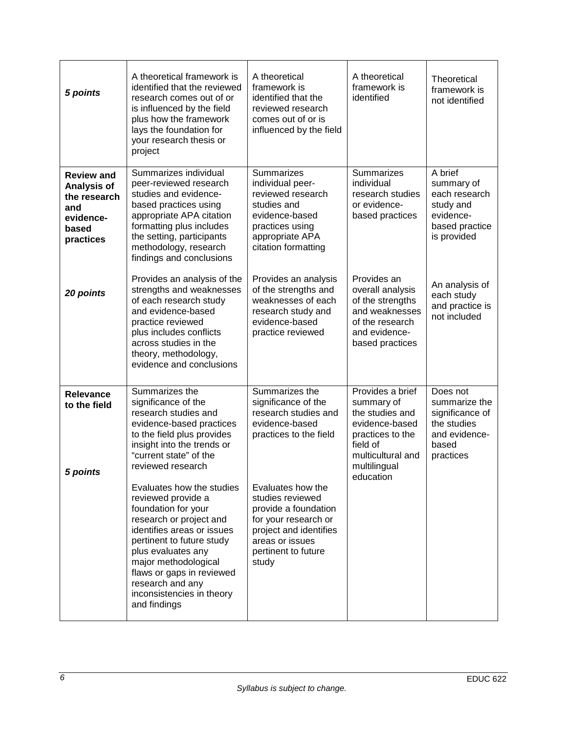| 5 points                                                                                   | A theoretical framework is<br>identified that the reviewed<br>research comes out of or<br>is influenced by the field<br>plus how the framework<br>lays the foundation for<br>your research thesis or<br>project                                                             | A theoretical<br>framework is<br>identified that the<br>reviewed research<br>comes out of or is<br>influenced by the field                        | A theoretical<br>framework is<br>identified                                                                                                           | Theoretical<br>framework is<br>not identified                                                      |
|--------------------------------------------------------------------------------------------|-----------------------------------------------------------------------------------------------------------------------------------------------------------------------------------------------------------------------------------------------------------------------------|---------------------------------------------------------------------------------------------------------------------------------------------------|-------------------------------------------------------------------------------------------------------------------------------------------------------|----------------------------------------------------------------------------------------------------|
| <b>Review and</b><br>Analysis of<br>the research<br>and<br>evidence-<br>based<br>practices | Summarizes individual<br>peer-reviewed research<br>studies and evidence-<br>based practices using<br>appropriate APA citation<br>formatting plus includes<br>the setting, participants<br>methodology, research<br>findings and conclusions                                 | Summarizes<br>individual peer-<br>reviewed research<br>studies and<br>evidence-based<br>practices using<br>appropriate APA<br>citation formatting | Summarizes<br>individual<br>research studies<br>or evidence-<br>based practices                                                                       | A brief<br>summary of<br>each research<br>study and<br>evidence-<br>based practice<br>is provided  |
| 20 points                                                                                  | Provides an analysis of the<br>strengths and weaknesses<br>of each research study<br>and evidence-based<br>practice reviewed<br>plus includes conflicts<br>across studies in the<br>theory, methodology,<br>evidence and conclusions                                        | Provides an analysis<br>of the strengths and<br>weaknesses of each<br>research study and<br>evidence-based<br>practice reviewed                   | Provides an<br>overall analysis<br>of the strengths<br>and weaknesses<br>of the research<br>and evidence-<br>based practices                          | An analysis of<br>each study<br>and practice is<br>not included                                    |
| <b>Relevance</b><br>to the field<br>5 points                                               | Summarizes the<br>significance of the<br>research studies and<br>evidence-based practices<br>to the field plus provides<br>insight into the trends or<br>"current state" of the<br>reviewed research<br>Evaluates how the studies                                           | Summarizes the<br>significance of the<br>research studies and<br>evidence-based<br>practices to the field<br>Evaluates how the                    | Provides a brief<br>summary of<br>the studies and<br>evidence-based<br>practices to the<br>field of<br>multicultural and<br>multilingual<br>education | Does not<br>summarize the<br>significance of<br>the studies<br>and evidence-<br>based<br>practices |
|                                                                                            | reviewed provide a<br>foundation for your<br>research or project and<br>identifies areas or issues<br>pertinent to future study<br>plus evaluates any<br>major methodological<br>flaws or gaps in reviewed<br>research and any<br>inconsistencies in theory<br>and findings | studies reviewed<br>provide a foundation<br>for your research or<br>project and identifies<br>areas or issues<br>pertinent to future<br>study     |                                                                                                                                                       |                                                                                                    |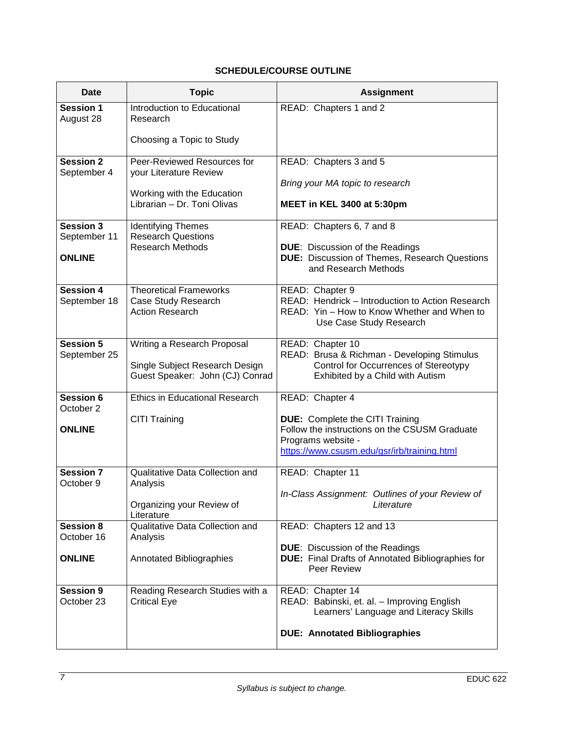# **SCHEDULE/COURSE OUTLINE**

| <b>Date</b>                                     | <b>Topic</b>                                                                                                       | <b>Assignment</b>                                                                                                                                                               |
|-------------------------------------------------|--------------------------------------------------------------------------------------------------------------------|---------------------------------------------------------------------------------------------------------------------------------------------------------------------------------|
| <b>Session 1</b><br>August 28                   | Introduction to Educational<br>Research                                                                            | READ: Chapters 1 and 2                                                                                                                                                          |
|                                                 | Choosing a Topic to Study                                                                                          |                                                                                                                                                                                 |
| <b>Session 2</b><br>September 4                 | Peer-Reviewed Resources for<br>your Literature Review<br>Working with the Education<br>Librarian - Dr. Toni Olivas | READ: Chapters 3 and 5<br>Bring your MA topic to research<br>MEET in KEL 3400 at 5:30pm                                                                                         |
| Session 3<br>September 11<br><b>ONLINE</b>      | <b>Identifying Themes</b><br><b>Research Questions</b><br><b>Research Methods</b>                                  | READ: Chapters 6, 7 and 8<br><b>DUE:</b> Discussion of the Readings<br><b>DUE:</b> Discussion of Themes, Research Questions<br>and Research Methods                             |
| <b>Session 4</b><br>September 18                | <b>Theoretical Frameworks</b><br>Case Study Research<br><b>Action Research</b>                                     | READ: Chapter 9<br>READ: Hendrick - Introduction to Action Research<br>READ: Yin - How to Know Whether and When to<br>Use Case Study Research                                   |
| Session 5<br>September 25                       | Writing a Research Proposal<br>Single Subject Research Design<br>Guest Speaker: John (CJ) Conrad                   | READ: Chapter 10<br>READ: Brusa & Richman - Developing Stimulus<br>Control for Occurrences of Stereotypy<br>Exhibited by a Child with Autism                                    |
| Session 6<br>October 2<br><b>ONLINE</b>         | <b>Ethics in Educational Research</b><br><b>CITI Training</b>                                                      | READ: Chapter 4<br><b>DUE:</b> Complete the CITI Training<br>Follow the instructions on the CSUSM Graduate<br>Programs website -<br>https://www.csusm.edu/gsr/irb/training.html |
| <b>Session 7</b><br>October 9                   | Qualitative Data Collection and<br>Analysis<br>Organizing your Review of<br>Literature                             | READ: Chapter 11<br>In-Class Assignment: Outlines of your Review of<br>Literature                                                                                               |
| <b>Session 8</b><br>October 16<br><b>ONLINE</b> | Qualitative Data Collection and<br>Analysis<br>Annotated Bibliographies                                            | READ: Chapters 12 and 13<br><b>DUE:</b> Discussion of the Readings<br><b>DUE:</b> Final Drafts of Annotated Bibliographies for<br>Peer Review                                   |
| <b>Session 9</b><br>October 23                  | Reading Research Studies with a<br><b>Critical Eye</b>                                                             | READ: Chapter 14<br>READ: Babinski, et. al. - Improving English<br>Learners' Language and Literacy Skills<br><b>DUE: Annotated Bibliographies</b>                               |